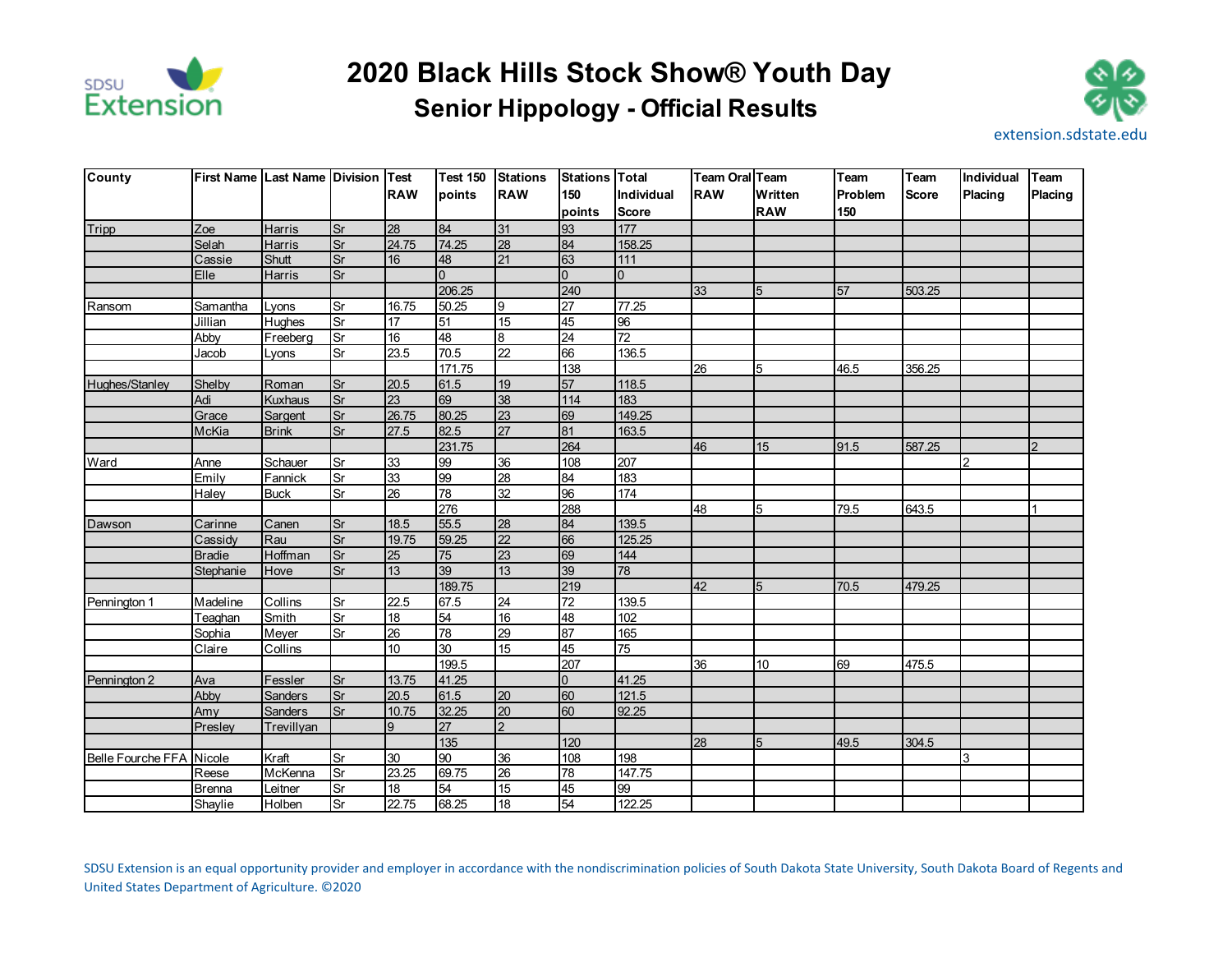

## **Senior Hippology - Official Results 2020 Black Hills Stock Show® Youth Day**



| <b>County</b>            | <b>First Name Last Name Division Test</b> |                |                          |                  | <b>Test 150</b> | <b>Stations</b> | <b>Stations Total</b> |                | <b>Team Oral Team</b> |            | Team    | Team         | Individual     | <b>Team</b>    |
|--------------------------|-------------------------------------------|----------------|--------------------------|------------------|-----------------|-----------------|-----------------------|----------------|-----------------------|------------|---------|--------------|----------------|----------------|
|                          |                                           |                |                          | <b>RAW</b>       | points          | <b>RAW</b>      | 150                   | Individual     | <b>RAW</b>            | Written    | Problem | <b>Score</b> | Placing        | Placing        |
|                          |                                           |                |                          |                  |                 |                 | points                | <b>Score</b>   |                       | <b>RAW</b> | 150     |              |                |                |
| Tripp                    | Zoe                                       | <b>Harris</b>  | Sr                       | 28               | 84              | 31              | 93                    | 177            |                       |            |         |              |                |                |
|                          | Selah                                     | Harris         | Sr                       | 24.75            | 74.25           | 28              | 84                    | 158.25         |                       |            |         |              |                |                |
|                          | Cassie                                    | Shutt          | Sr                       | 16               | 48              | 21              | 63                    | $111$          |                       |            |         |              |                |                |
|                          | Elle                                      | <b>Harris</b>  | Sr                       |                  | $\Omega$        |                 | $\Omega$              | $\overline{0}$ |                       |            |         |              |                |                |
|                          |                                           |                |                          |                  | 206.25          |                 | 240                   |                | 33                    | 5          | 57      | 503.25       |                |                |
| Ransom                   | Samantha                                  | Lyons          | Sr                       | 16.75            | 50.25           | 9               | $\overline{27}$       | 77.25          |                       |            |         |              |                |                |
|                          | Jillian                                   | <b>Hughes</b>  | <b>Sr</b>                | 17               | 51              | 15              | 45                    | 96             |                       |            |         |              |                |                |
|                          | Abby                                      | Freeberg       | Sr                       | 16               | 48              | 8               | 24                    | 72             |                       |            |         |              |                |                |
|                          | Jacob                                     | Lyons          | $\overline{\mathsf{S}r}$ | 23.5             | 70.5            | 22              | 66                    | 136.5          |                       |            |         |              |                |                |
|                          |                                           |                |                          |                  | 171.75          |                 | 138                   |                | $\overline{26}$       | 5          | 46.5    | 356.25       |                |                |
| Hughes/Stanley           | Shelby                                    | Roman          | Sr                       | 20.5             | 61.5            | 19              | 57                    | 118.5          |                       |            |         |              |                |                |
|                          | Adi                                       | <b>Kuxhaus</b> | Sr                       | 23               | 69              | 38              | 114                   | 183            |                       |            |         |              |                |                |
|                          | Grace                                     | Sargent        | Sr                       | 26.75            | 80.25           | 23              | 69                    | 149.25         |                       |            |         |              |                |                |
|                          | McKia                                     | <b>Brink</b>   | <b>Sr</b>                | 27.5             | 82.5            | 27              | 81                    | 163.5          |                       |            |         |              |                |                |
|                          |                                           |                |                          |                  | 231.75          |                 | 264                   |                | 46                    | 15         | 91.5    | 587.25       |                | $\overline{2}$ |
| Ward                     | Anne                                      | Schauer        | Sr                       | 33               | 99              | 36              | 108                   | 207            |                       |            |         |              | $\overline{2}$ |                |
|                          | Emily                                     | Fannick        | Sr                       | 33               | 99              | 28              | 84                    | 183            |                       |            |         |              |                |                |
|                          | Haley                                     | <b>Buck</b>    | $\overline{\mathsf{S}r}$ | $\overline{26}$  | 78              | 32              | 96                    | 174            |                       |            |         |              |                |                |
|                          |                                           |                |                          |                  | 276             |                 | 288                   |                | 48                    | 5          | 79.5    | 643.5        |                |                |
| Dawson                   | Carinne                                   | Canen          | <b>Sr</b>                | 18.5             | 55.5            | 28              | 84                    | 139.5          |                       |            |         |              |                |                |
|                          | Cassidy                                   | Rau            | Sr                       | 19.75            | 59.25           | 22              | 66                    | 125.25         |                       |            |         |              |                |                |
|                          | <b>Bradie</b>                             | Hoffman        | <b>Sr</b>                | 25               | 75              | 23              | 69                    | 144            |                       |            |         |              |                |                |
|                          | Stephanie                                 | Hove           | Sr                       | 13               | 39              | 13              | 39                    | 78             |                       |            |         |              |                |                |
|                          |                                           |                |                          |                  | 189.75          |                 | 219                   |                | 42                    | 5          | 70.5    | 479.25       |                |                |
| Pennington 1             | Madeline                                  | Collins        | <b>Sr</b>                | 22.5             | 67.5            | 24              | 72                    | 139.5          |                       |            |         |              |                |                |
|                          | Teaghan                                   | Smith          | Sr                       | 18               | 54              | 16              | 48                    | 102            |                       |            |         |              |                |                |
|                          | Sophia                                    | Meyer          | Sr                       | $\overline{26}$  | 78              | 29              | 87                    | 165            |                       |            |         |              |                |                |
|                          | Claire                                    | Collins        |                          | 10 <sup>10</sup> | 30              | 15              | 45                    | 75             |                       |            |         |              |                |                |
|                          |                                           |                |                          |                  | 199.5           |                 | 207                   |                | 36                    | 10         | 69      | 475.5        |                |                |
| Pennington 2             | Ava                                       | Fessler        | <b>Sr</b>                | 13.75            | 41.25           |                 | $\overline{0}$        | 41.25          |                       |            |         |              |                |                |
|                          | Abby                                      | <b>Sanders</b> | Sr                       | 20.5             | 61.5            | 20              | 60                    | 121.5          |                       |            |         |              |                |                |
|                          | Amy                                       | <b>Sanders</b> | Sr                       | 10.75            | 32.25           | 20              | 60                    | 92.25          |                       |            |         |              |                |                |
|                          | Presley                                   | Trevillyan     |                          | 9                | 27              | $\overline{2}$  |                       |                |                       |            |         |              |                |                |
|                          |                                           |                |                          |                  | 135             |                 | 120                   |                | $\overline{28}$       | 5          | 49.5    | 304.5        |                |                |
| Belle Fourche FFA Nicole |                                           | Kraft          | $\overline{\mathsf{S}r}$ | 30               | 90              | 36              | 108                   | 198            |                       |            |         |              | 3              |                |
|                          | Reese                                     | McKenna        | Sr                       | 23.25            | 69.75           | 26              | 78                    | 147.75         |                       |            |         |              |                |                |
|                          | <b>Brenna</b>                             | Leitner        | Sr                       | 18               | 54              | 15              | 45                    | 99             |                       |            |         |              |                |                |
|                          | Shaylie                                   | <b>Holben</b>  | <b>Sr</b>                | 22.75            | 68.25           | 18              | 54                    | 122.25         |                       |            |         |              |                |                |

SDSU Extension is an equal opportunity provider and employer in accordance with the nondiscrimination policies of South Dakota State University, South Dakota Board of Regents and United States Department of Agriculture. ©2020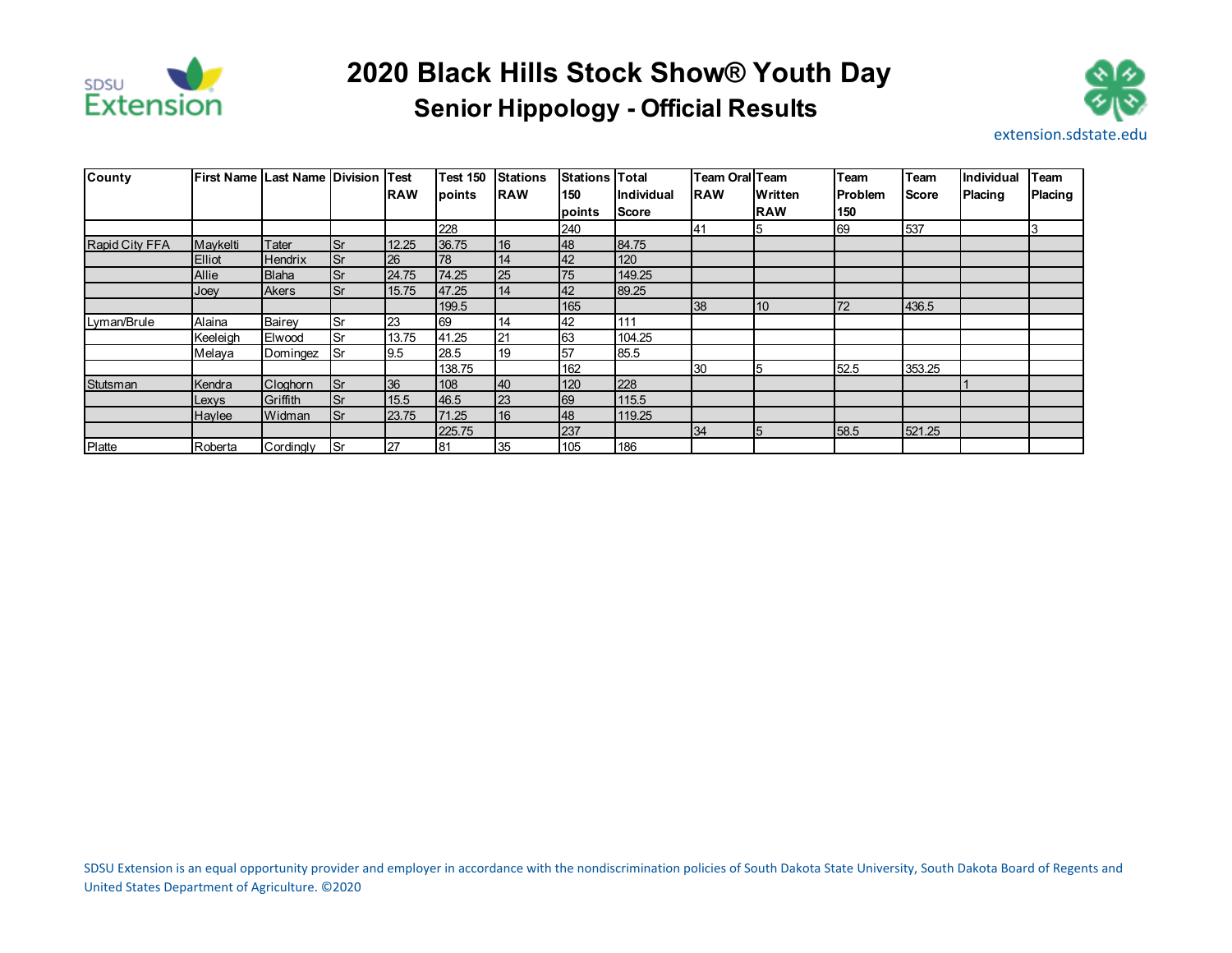

## **Senior Hippology - Official Results 2020 Black Hills Stock Show® Youth Day**



| County         | <b>IFirst Name ILast Name IDivision</b> |                |            | <b>Test</b> | <b>Test 150</b> | <b>Stations</b> | <b>Stations</b> | <b>Total</b> | Team Oral Team |            | Team           | Team   | <b>Individual</b> | Team           |
|----------------|-----------------------------------------|----------------|------------|-------------|-----------------|-----------------|-----------------|--------------|----------------|------------|----------------|--------|-------------------|----------------|
|                |                                         |                |            | <b>RAW</b>  | points          | <b>IRAW</b>     | 150             | Individual   | <b>IRAW</b>    | Written    | <b>Problem</b> | lScore | <b>Placing</b>    | <b>Placing</b> |
|                |                                         |                |            |             |                 |                 | <b>points</b>   | <b>Score</b> |                | <b>RAW</b> | 150            |        |                   |                |
|                |                                         |                |            |             | 228             |                 | 240             |              | 41             | 15         | 69             | 537    |                   |                |
| Rapid City FFA | Maykelti                                | Tater          | <b>Sr</b>  | 12.25       | 36.75           | 16              | 48              | 84.75        |                |            |                |        |                   |                |
|                | <b>Elliot</b>                           | <b>Hendrix</b> | <b>Sr</b>  | 26          | 178             | 14              | 42              | 120          |                |            |                |        |                   |                |
|                | Allie                                   | <b>Blaha</b>   | <b>ISr</b> | 24.75       | 74.25           | 25              | 75              | 149.25       |                |            |                |        |                   |                |
|                | Joey                                    | <b>Akers</b>   | <b>Sr</b>  | 15.75       | 47.25           | 14              | 42              | 89.25        |                |            |                |        |                   |                |
|                |                                         |                |            |             | 199.5           |                 | 165             |              | 38             | <b>10</b>  | 72             | 436.5  |                   |                |
| Lyman/Brule    | Alaina                                  | Bairey         | <b>Sr</b>  | 23          | 69              | 14              | 42              | 111          |                |            |                |        |                   |                |
|                | Keeleigh                                | Elwood         | lSr        | 13.75       | 41.25           | 21              | 63              | 104.25       |                |            |                |        |                   |                |
|                | Melaya                                  | Domingez       | ISr        | 9.5         | 28.5            | 19              | 57              | 85.5         |                |            |                |        |                   |                |
|                |                                         |                |            |             | 138.75          |                 | 162             |              | 30             | 5          | 52.5           | 353.25 |                   |                |
| Stutsman       | Kendra                                  | Cloghorn       | <b>Sr</b>  | 36          | 108             | 40              | 120             | 228          |                |            |                |        |                   |                |
|                | Lexys                                   | Griffith       | <b>Sr</b>  | 15.5        | 46.5            | 23              | 69              | 115.5        |                |            |                |        |                   |                |
|                | Haylee                                  | Widman         | <b>Sr</b>  | 23.75       | 71.25           | 16              | 48              | 119.25       |                |            |                |        |                   |                |
|                |                                         |                |            |             | 225.75          |                 | 237             |              | 34             | 5          | 58.5           | 521.25 |                   |                |
| Platte         | Roberta                                 | Cordingly      | <b>Sr</b>  | 27          | 81              | 35              | 105             | 186          |                |            |                |        |                   |                |

SDSU Extension is an equal opportunity provider and employer in accordance with the nondiscrimination policies of South Dakota State University, South Dakota Board of Regents and United States Department of Agriculture. ©2020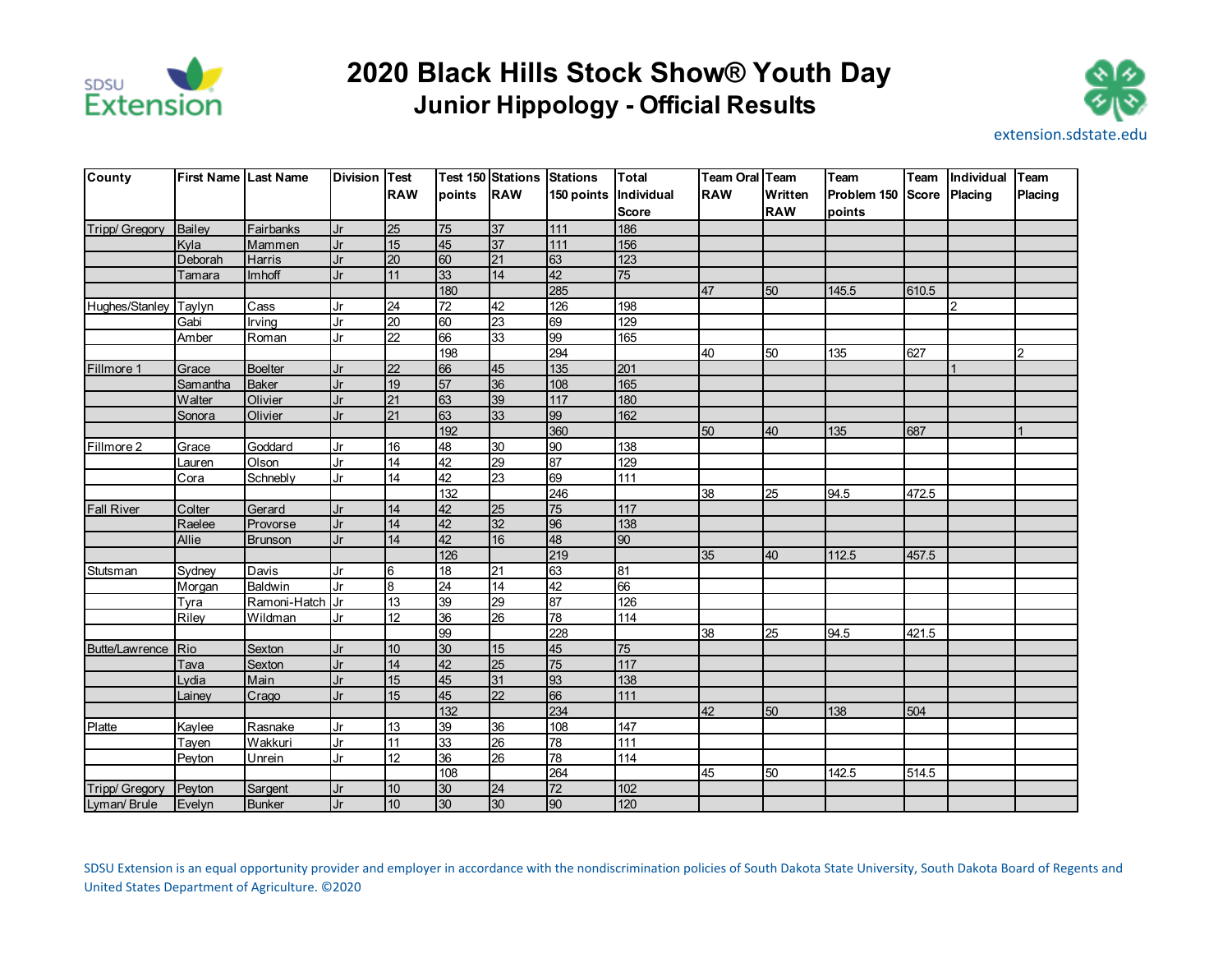

## **Junior Hippology - Official Results 2020 Black Hills Stock Show® Youth Day**



| County                | <b>First Name Last Name</b> |                  | Division Test |                 |                 | <b>Test 150 Stations Stations</b> |            | <b>Total</b>      | Team Oral Team  |            | Team        | Team         | Individual   | Team    |
|-----------------------|-----------------------------|------------------|---------------|-----------------|-----------------|-----------------------------------|------------|-------------------|-----------------|------------|-------------|--------------|--------------|---------|
|                       |                             |                  |               | <b>RAW</b>      | points          | <b>RAW</b>                        | 150 points | Individual        | <b>RAW</b>      | Written    | Problem 150 | <b>Score</b> | Placing      | Placing |
|                       |                             |                  |               |                 |                 |                                   |            | <b>Score</b>      |                 | <b>RAW</b> | points      |              |              |         |
| Tripp/ Gregory        | Bailey                      | <b>Fairbanks</b> | Jr            | 25              | 75              | 37                                | 111        | 186               |                 |            |             |              |              |         |
|                       | Kvla                        | Mammen           | Jr            | 15              | 45              | 37                                | $111$      | 156               |                 |            |             |              |              |         |
|                       | Deborah                     | Harris           | Jr            | 20              | 60              | 21                                | 63         | 123               |                 |            |             |              |              |         |
|                       | Tamara                      | Imhoff           | Jr            | 11              | 33              | 14                                | 42         | 75                |                 |            |             |              |              |         |
|                       |                             |                  |               |                 | 180             |                                   | 285        |                   | 47              | 50         | 145.5       | 610.5        |              |         |
| Hughes/Stanley        | Taylyn                      | Cass             | Jr            | 24              | 72              | 42                                | 126        | 198               |                 |            |             |              | <sup>2</sup> |         |
|                       | Gabi                        | Irving           | Jr            | $\overline{20}$ | 60              | 23                                | 69         | 129               |                 |            |             |              |              |         |
|                       | Amber                       | Roman            | Jr            | 22              | 66              | 33                                | 99         | 165               |                 |            |             |              |              |         |
|                       |                             |                  |               |                 | 198             |                                   | 294        |                   | $\overline{40}$ | 50         | 135         | 627          |              |         |
| Fillmore 1            | Grace                       | <b>Boelter</b>   | Jr            | 22              | 66              | 45                                | 135        | 201               |                 |            |             |              |              |         |
|                       | Samantha                    | <b>Baker</b>     | Jr            | 19              | 57              | 36                                | 108        | 165               |                 |            |             |              |              |         |
|                       | Walter                      | Olivier          | Jr            | 21              | 63              | 39                                | $117$      | 180               |                 |            |             |              |              |         |
|                       | Sonora                      | Olivier          | Jr            | 21              | 63              | 33                                | 99         | 162               |                 |            |             |              |              |         |
|                       |                             |                  |               |                 | 192             |                                   | 360        |                   | 50              | 40         | 135         | 687          |              |         |
| Fillmore 2            | Grace                       | Goddard          | Jr            | 16              | 48              | 30                                | 8          | 138               |                 |            |             |              |              |         |
|                       | Lauren                      | Olson            | Jr            | 14              | 42              | 29                                | 87         | 129               |                 |            |             |              |              |         |
|                       | Cora                        | Schnebly         | Jr            | 14              | 42              | 23                                | 69         | $\frac{1}{111}$   |                 |            |             |              |              |         |
|                       |                             |                  |               |                 | 132             |                                   | 246        |                   | 38              | 25         | 94.5        | 472.5        |              |         |
| <b>Fall River</b>     | Colter                      | Gerard           | Jr            | 14              | 42              | 25                                | 75         | 117               |                 |            |             |              |              |         |
|                       | Raelee                      | Provorse         | Jr            | 14              | 42              | 32                                | 96         | 138               |                 |            |             |              |              |         |
|                       | Allie                       | <b>Brunson</b>   | Jr            | 14              | 42              | 16                                | 48         | 90                |                 |            |             |              |              |         |
|                       |                             |                  |               |                 | 126             |                                   | 219        |                   | 35              | 40         | 112.5       | 457.5        |              |         |
| <b>Stutsman</b>       | Sydney                      | Davis            | Jr            | 6               | 18              | 21                                | 63         | 81                |                 |            |             |              |              |         |
|                       | Morgan                      | <b>Baldwin</b>   | Jr            | 8               | $\overline{24}$ | 14                                | 42         | 66                |                 |            |             |              |              |         |
|                       | Tyra                        | Ramoni-Hatch     | IJr           | 13              | 39              | 29                                | 87         | 126               |                 |            |             |              |              |         |
|                       | Riley                       | Wildman          | Jr            | 12              | 36              | 26                                | 78         | 114               |                 |            |             |              |              |         |
|                       |                             |                  |               |                 | 99              |                                   | 228        |                   | 38              | 25         | 94.5        | 421.5        |              |         |
| <b>Butte/Lawrence</b> | <b>Rio</b>                  | Sexton           | Jr            | 10              | 30              | 15                                | 45         | $\overline{75}$   |                 |            |             |              |              |         |
|                       | Tava                        | Sexton           | Jr            | 14              | 42              | 25                                | 75         | $\frac{117}{117}$ |                 |            |             |              |              |         |
|                       | Lydia                       | Main             | Jr            | 15              | 45              | 31                                | 93         | 138               |                 |            |             |              |              |         |
|                       | Lainey                      | Crago            | Jr            | 15              | 45              | 22                                | 66         | 111               |                 |            |             |              |              |         |
|                       |                             |                  |               |                 | 132             |                                   | 234        |                   | 42              | 50         | 138         | 504          |              |         |
| Platte                | Kaylee                      | Rasnake          | Jr            | 13              | 39              | 36                                | 108        | 147               |                 |            |             |              |              |         |
|                       | Tayen                       | Wakkuri          | Jr            | 11              | 33              | 26                                | 78         | 111               |                 |            |             |              |              |         |
|                       | Peyton                      | <b>Unrein</b>    | Jr            | 12              | 36              | 26                                | 78         | $\frac{1}{114}$   |                 |            |             |              |              |         |
|                       |                             |                  |               |                 | 108             |                                   | 264        |                   | 45              | 50         | 142.5       | 514.5        |              |         |
| Tripp/ Gregory        | Peyton                      | Sargent          | Jr            | 10              | 30              | 24                                | 72         | 102               |                 |            |             |              |              |         |
| Lyman/ Brule          | Evelyn                      | <b>Bunker</b>    | Jr            | 10              | 30              | 30                                | 90         | 120               |                 |            |             |              |              |         |

SDSU Extension is an equal opportunity provider and employer in accordance with the nondiscrimination policies of South Dakota State University, South Dakota Board of Regents and United States Department of Agriculture. ©2020